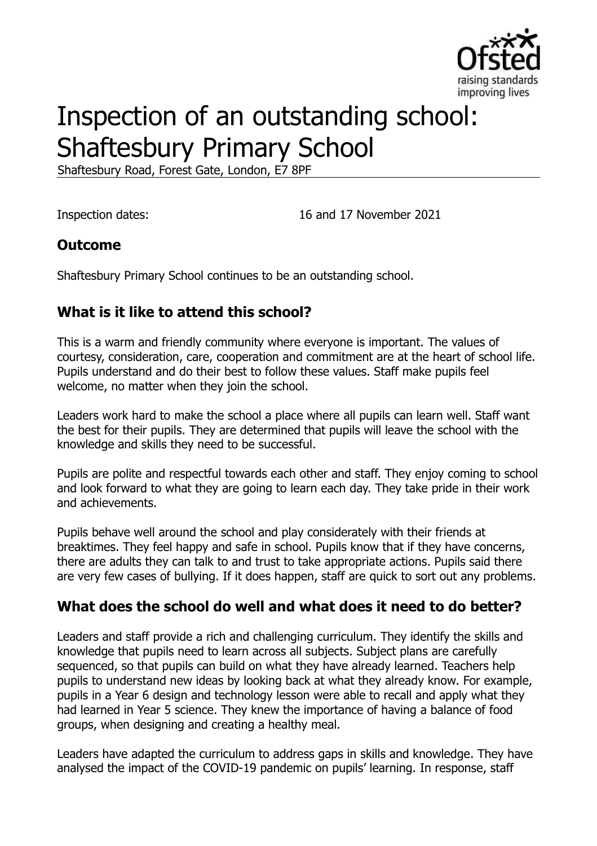

# Inspection of an outstanding school: Shaftesbury Primary School

Shaftesbury Road, Forest Gate, London, E7 8PF

Inspection dates: 16 and 17 November 2021

#### **Outcome**

Shaftesbury Primary School continues to be an outstanding school.

# **What is it like to attend this school?**

This is a warm and friendly community where everyone is important. The values of courtesy, consideration, care, cooperation and commitment are at the heart of school life. Pupils understand and do their best to follow these values. Staff make pupils feel welcome, no matter when they join the school.

Leaders work hard to make the school a place where all pupils can learn well. Staff want the best for their pupils. They are determined that pupils will leave the school with the knowledge and skills they need to be successful.

Pupils are polite and respectful towards each other and staff. They enjoy coming to school and look forward to what they are going to learn each day. They take pride in their work and achievements.

Pupils behave well around the school and play considerately with their friends at breaktimes. They feel happy and safe in school. Pupils know that if they have concerns, there are adults they can talk to and trust to take appropriate actions. Pupils said there are very few cases of bullying. If it does happen, staff are quick to sort out any problems.

#### **What does the school do well and what does it need to do better?**

Leaders and staff provide a rich and challenging curriculum. They identify the skills and knowledge that pupils need to learn across all subjects. Subject plans are carefully sequenced, so that pupils can build on what they have already learned. Teachers help pupils to understand new ideas by looking back at what they already know. For example, pupils in a Year 6 design and technology lesson were able to recall and apply what they had learned in Year 5 science. They knew the importance of having a balance of food groups, when designing and creating a healthy meal.

Leaders have adapted the curriculum to address gaps in skills and knowledge. They have analysed the impact of the COVID-19 pandemic on pupils' learning. In response, staff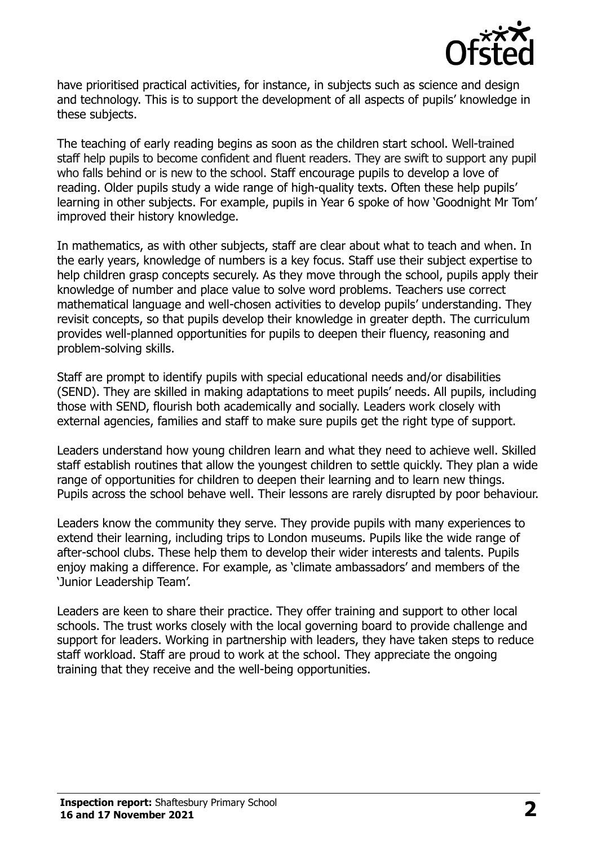

have prioritised practical activities, for instance, in subjects such as science and design and technology. This is to support the development of all aspects of pupils' knowledge in these subjects.

The teaching of early reading begins as soon as the children start school. Well-trained staff help pupils to become confident and fluent readers. They are swift to support any pupil who falls behind or is new to the school. Staff encourage pupils to develop a love of reading. Older pupils study a wide range of high-quality texts. Often these help pupils' learning in other subjects. For example, pupils in Year 6 spoke of how 'Goodnight Mr Tom' improved their history knowledge.

In mathematics, as with other subjects, staff are clear about what to teach and when. In the early years, knowledge of numbers is a key focus. Staff use their subject expertise to help children grasp concepts securely. As they move through the school, pupils apply their knowledge of number and place value to solve word problems. Teachers use correct mathematical language and well-chosen activities to develop pupils' understanding. They revisit concepts, so that pupils develop their knowledge in greater depth. The curriculum provides well-planned opportunities for pupils to deepen their fluency, reasoning and problem-solving skills.

Staff are prompt to identify pupils with special educational needs and/or disabilities (SEND). They are skilled in making adaptations to meet pupils' needs. All pupils, including those with SEND, flourish both academically and socially. Leaders work closely with external agencies, families and staff to make sure pupils get the right type of support.

Leaders understand how young children learn and what they need to achieve well. Skilled staff establish routines that allow the youngest children to settle quickly. They plan a wide range of opportunities for children to deepen their learning and to learn new things. Pupils across the school behave well. Their lessons are rarely disrupted by poor behaviour.

Leaders know the community they serve. They provide pupils with many experiences to extend their learning, including trips to London museums. Pupils like the wide range of after-school clubs. These help them to develop their wider interests and talents. Pupils enjoy making a difference. For example, as 'climate ambassadors' and members of the 'Junior Leadership Team'.

Leaders are keen to share their practice. They offer training and support to other local schools. The trust works closely with the local governing board to provide challenge and support for leaders. Working in partnership with leaders, they have taken steps to reduce staff workload. Staff are proud to work at the school. They appreciate the ongoing training that they receive and the well-being opportunities.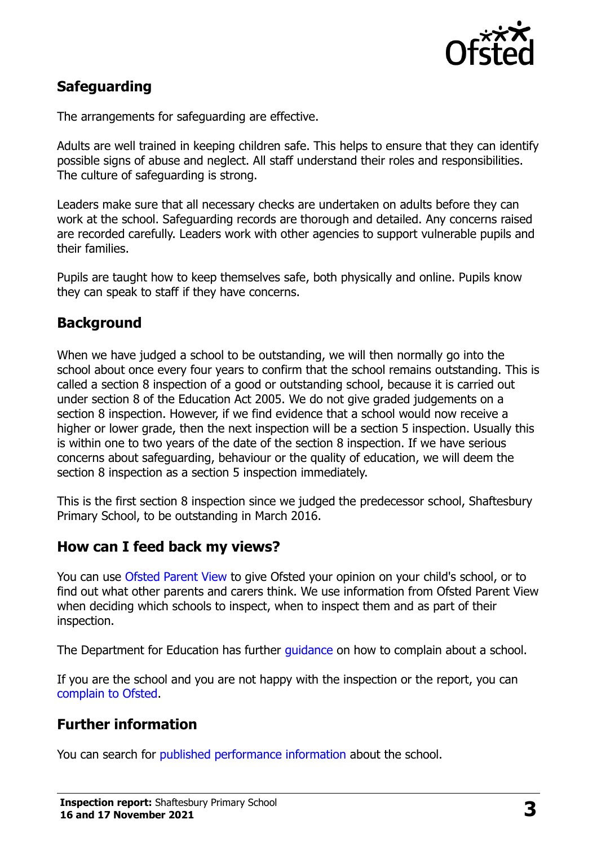

# **Safeguarding**

The arrangements for safeguarding are effective.

Adults are well trained in keeping children safe. This helps to ensure that they can identify possible signs of abuse and neglect. All staff understand their roles and responsibilities. The culture of safeguarding is strong.

Leaders make sure that all necessary checks are undertaken on adults before they can work at the school. Safeguarding records are thorough and detailed. Any concerns raised are recorded carefully. Leaders work with other agencies to support vulnerable pupils and their families.

Pupils are taught how to keep themselves safe, both physically and online. Pupils know they can speak to staff if they have concerns.

## **Background**

When we have judged a school to be outstanding, we will then normally go into the school about once every four years to confirm that the school remains outstanding. This is called a section 8 inspection of a good or outstanding school, because it is carried out under section 8 of the Education Act 2005. We do not give graded judgements on a section 8 inspection. However, if we find evidence that a school would now receive a higher or lower grade, then the next inspection will be a section 5 inspection. Usually this is within one to two years of the date of the section 8 inspection. If we have serious concerns about safeguarding, behaviour or the quality of education, we will deem the section 8 inspection as a section 5 inspection immediately.

This is the first section 8 inspection since we judged the predecessor school, Shaftesbury Primary School, to be outstanding in March 2016.

#### **How can I feed back my views?**

You can use [Ofsted Parent View](https://parentview.ofsted.gov.uk/) to give Ofsted your opinion on your child's school, or to find out what other parents and carers think. We use information from Ofsted Parent View when deciding which schools to inspect, when to inspect them and as part of their inspection.

The Department for Education has further quidance on how to complain about a school.

If you are the school and you are not happy with the inspection or the report, you can [complain to Ofsted.](https://www.gov.uk/complain-ofsted-report)

#### **Further information**

You can search for [published performance information](http://www.compare-school-performance.service.gov.uk/) about the school.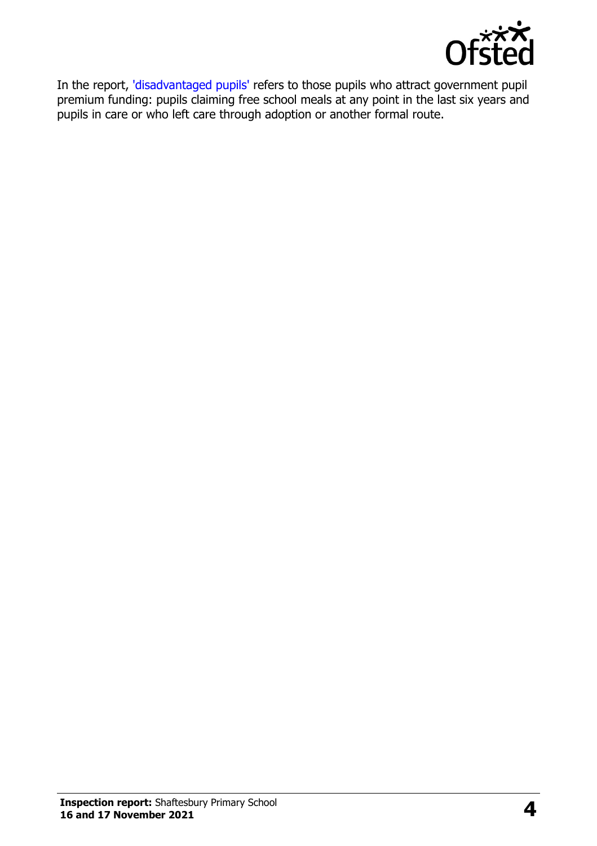

In the report, ['disadvantaged pupils'](http://www.gov.uk/guidance/pupil-premium-information-for-schools-and-alternative-provision-settings) refers to those pupils who attract government pupil premium funding: pupils claiming free school meals at any point in the last six years and pupils in care or who left care through adoption or another formal route.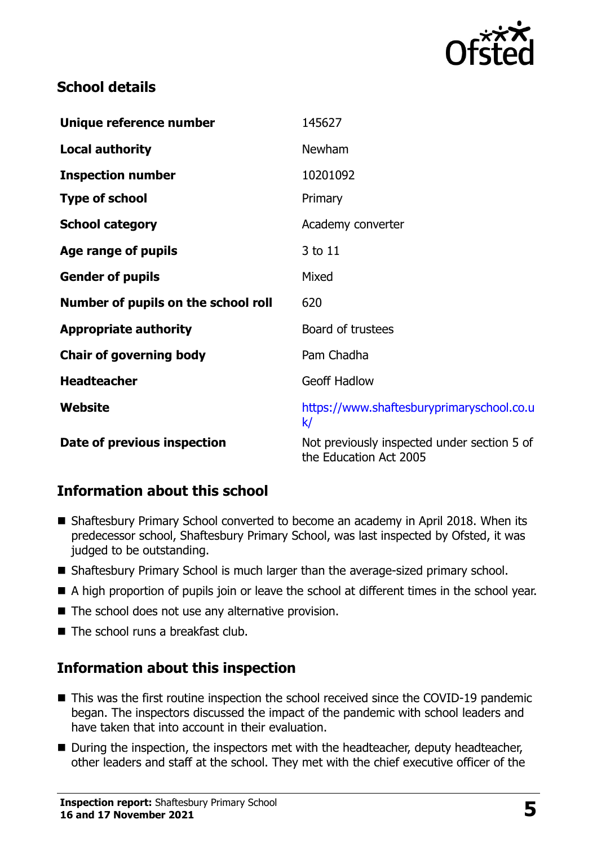

## **School details**

| Unique reference number             | 145627                                                                |
|-------------------------------------|-----------------------------------------------------------------------|
| <b>Local authority</b>              | Newham                                                                |
| <b>Inspection number</b>            | 10201092                                                              |
| <b>Type of school</b>               | Primary                                                               |
| <b>School category</b>              | Academy converter                                                     |
| Age range of pupils                 | 3 to 11                                                               |
| <b>Gender of pupils</b>             | Mixed                                                                 |
| Number of pupils on the school roll | 620                                                                   |
| <b>Appropriate authority</b>        | Board of trustees                                                     |
| <b>Chair of governing body</b>      | Pam Chadha                                                            |
| <b>Headteacher</b>                  | <b>Geoff Hadlow</b>                                                   |
| Website                             | https://www.shaftesburyprimaryschool.co.u<br>k/                       |
| Date of previous inspection         | Not previously inspected under section 5 of<br>the Education Act 2005 |

#### **Information about this school**

- Shaftesbury Primary School converted to become an academy in April 2018. When its predecessor school, Shaftesbury Primary School, was last inspected by Ofsted, it was judged to be outstanding.
- Shaftesbury Primary School is much larger than the average-sized primary school.
- A high proportion of pupils join or leave the school at different times in the school year.
- The school does not use any alternative provision.
- $\blacksquare$  The school runs a breakfast club.

# **Information about this inspection**

- This was the first routine inspection the school received since the COVID-19 pandemic began. The inspectors discussed the impact of the pandemic with school leaders and have taken that into account in their evaluation.
- During the inspection, the inspectors met with the headteacher, deputy headteacher, other leaders and staff at the school. They met with the chief executive officer of the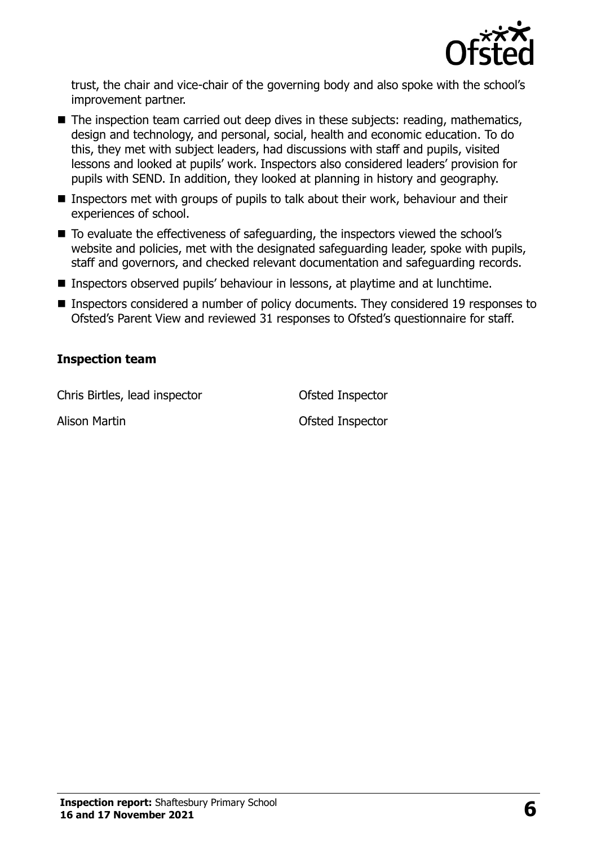

trust, the chair and vice-chair of the governing body and also spoke with the school's improvement partner.

- The inspection team carried out deep dives in these subjects: reading, mathematics, design and technology, and personal, social, health and economic education. To do this, they met with subject leaders, had discussions with staff and pupils, visited lessons and looked at pupils' work. Inspectors also considered leaders' provision for pupils with SEND. In addition, they looked at planning in history and geography.
- Inspectors met with groups of pupils to talk about their work, behaviour and their experiences of school.
- To evaluate the effectiveness of safeguarding, the inspectors viewed the school's website and policies, met with the designated safeguarding leader, spoke with pupils, staff and governors, and checked relevant documentation and safeguarding records.
- Inspectors observed pupils' behaviour in lessons, at playtime and at lunchtime.
- Inspectors considered a number of policy documents. They considered 19 responses to Ofsted's Parent View and reviewed 31 responses to Ofsted's questionnaire for staff.

#### **Inspection team**

Chris Birtles, lead inspector **Chris Birtles**, lead inspector

Alison Martin **Alison Martin Constanting Constanting Constanting Constanting Constanting Constanting Constanting Constanting Constanting Constanting Constanting Constanting Constanting Constanting Constanting Constanting**